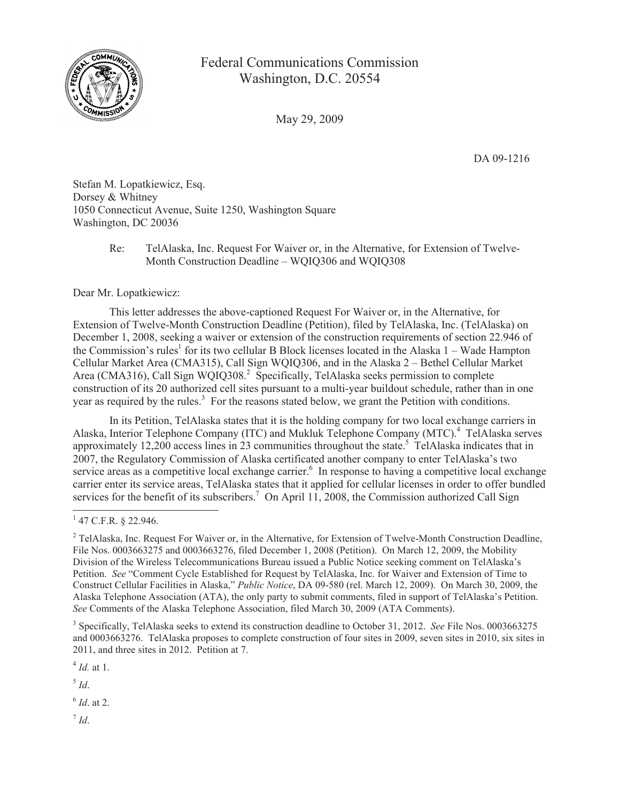

## Federal Communications Commission Washington, D.C. 20554

May 29, 2009

DA 09-1216

Stefan M. Lopatkiewicz, Esq. Dorsey & Whitney 1050 Connecticut Avenue, Suite 1250, Washington Square Washington, DC 20036

## Re: TelAlaska, Inc. Request For Waiver or, in the Alternative, for Extension of Twelve-Month Construction Deadline – WQIQ306 and WQIQ308

## Dear Mr. Lopatkiewicz:

This letter addresses the above-captioned Request For Waiver or, in the Alternative, for Extension of Twelve-Month Construction Deadline (Petition), filed by TelAlaska, Inc. (TelAlaska) on December 1, 2008, seeking a waiver or extension of the construction requirements of section 22.946 of the Commission's rules<sup>1</sup> for its two cellular B Block licenses located in the Alaska 1 – Wade Hampton Cellular Market Area (CMA315), Call Sign WQIQ306, and in the Alaska 2 – Bethel Cellular Market Area (CMA316), Call Sign WQIQ308.<sup>2</sup> Specifically, TelAlaska seeks permission to complete construction of its 20 authorized cell sites pursuant to a multi-year buildout schedule, rather than in one year as required by the rules.<sup>3</sup> For the reasons stated below, we grant the Petition with conditions.

In its Petition, TelAlaska states that it is the holding company for two local exchange carriers in Alaska, Interior Telephone Company (ITC) and Mukluk Telephone Company (MTC).<sup>4</sup> TelAlaska serves approximately 12,200 access lines in 23 communities throughout the state.<sup>5</sup> TelAlaska indicates that in 2007, the Regulatory Commission of Alaska certificated another company to enter TelAlaska's two service areas as a competitive local exchange carrier.<sup>6</sup> In response to having a competitive local exchange carrier enter its service areas, TelAlaska states that it applied for cellular licenses in order to offer bundled services for the benefit of its subscribers.<sup>7</sup> On April 11, 2008, the Commission authorized Call Sign

4 *Id.* at 1.

5 *Id*.

6 *Id*. at 2.

7 *Id*.

 $1$  47 C.F.R. § 22.946.

<sup>&</sup>lt;sup>2</sup> TelAlaska, Inc. Request For Waiver or, in the Alternative, for Extension of Twelve-Month Construction Deadline, File Nos. 0003663275 and 0003663276, filed December 1, 2008 (Petition). On March 12, 2009, the Mobility Division of the Wireless Telecommunications Bureau issued a Public Notice seeking comment on TelAlaska's Petition. *See* "Comment Cycle Established for Request by TelAlaska, Inc. for Waiver and Extension of Time to Construct Cellular Facilities in Alaska," *Public Notice*, DA 09-580 (rel. March 12, 2009). On March 30, 2009, the Alaska Telephone Association (ATA), the only party to submit comments, filed in support of TelAlaska's Petition. *See* Comments of the Alaska Telephone Association, filed March 30, 2009 (ATA Comments).

<sup>3</sup> Specifically, TelAlaska seeks to extend its construction deadline to October 31, 2012. *See* File Nos. 0003663275 and 0003663276. TelAlaska proposes to complete construction of four sites in 2009, seven sites in 2010, six sites in 2011, and three sites in 2012. Petition at 7.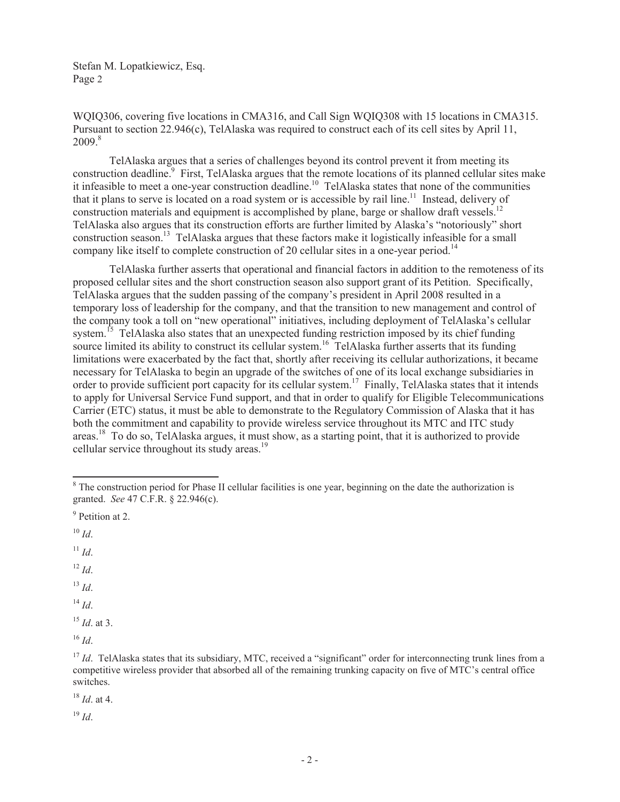WQIQ306, covering five locations in CMA316, and Call Sign WQIQ308 with 15 locations in CMA315. Pursuant to section 22.946(c), TelAlaska was required to construct each of its cell sites by April 11,  $2009<sup>8</sup>$ 

TelAlaska argues that a series of challenges beyond its control prevent it from meeting its construction deadline.<sup>9</sup> First, TelAlaska argues that the remote locations of its planned cellular sites make it infeasible to meet a one-year construction deadline.<sup>10</sup> TelAlaska states that none of the communities that it plans to serve is located on a road system or is accessible by rail line.<sup>11</sup> Instead, delivery of construction materials and equipment is accomplished by plane, barge or shallow draft vessels.<sup>12</sup> TelAlaska also argues that its construction efforts are further limited by Alaska's "notoriously" short construction season.<sup>13</sup> TelAlaska argues that these factors make it logistically infeasible for a small company like itself to complete construction of 20 cellular sites in a one-year period.<sup>14</sup>

TelAlaska further asserts that operational and financial factors in addition to the remoteness of its proposed cellular sites and the short construction season also support grant of its Petition. Specifically, TelAlaska argues that the sudden passing of the company's president in April 2008 resulted in a temporary loss of leadership for the company, and that the transition to new management and control of the company took a toll on "new operational" initiatives, including deployment of TelAlaska's cellular system.<sup>15</sup> TelAlaska also states that an unexpected funding restriction imposed by its chief funding system. Then hashe that the states that an another construct of the state of the space of the space in space of the space of the space of the space of the space of the space of the space of the space of the space of the sp limitations were exacerbated by the fact that, shortly after receiving its cellular authorizations, it became necessary for TelAlaska to begin an upgrade of the switches of one of its local exchange subsidiaries in order to provide sufficient port capacity for its cellular system.<sup>17</sup> Finally, TelAlaska states that it intends to apply for Universal Service Fund support, and that in order to qualify for Eligible Telecommunications Carrier (ETC) status, it must be able to demonstrate to the Regulatory Commission of Alaska that it has both the commitment and capability to provide wireless service throughout its MTC and ITC study areas.<sup>18</sup> To do so, TelAlaska argues, it must show, as a starting point, that it is authorized to provide cellular service throughout its study areas.<sup>19</sup>

 $11$  *Id.* 

 $^{12}$  *Id.* 

<sup>13</sup> *Id*.

 $14$  *Id*.

<sup>15</sup> *Id*. at 3.

<sup>16</sup> *Id*.

<sup>18</sup> *Id*. at 4.

 $19 \; Id.$ 

<sup>&</sup>lt;sup>8</sup> The construction period for Phase II cellular facilities is one year, beginning on the date the authorization is granted. *See* 47 C.F.R. § 22.946(c).

<sup>&</sup>lt;sup>9</sup> Petition at 2.

 $10$  *Id.* 

<sup>&</sup>lt;sup>17</sup> *Id*. TelAlaska states that its subsidiary, MTC, received a "significant" order for interconnecting trunk lines from a competitive wireless provider that absorbed all of the remaining trunking capacity on five of MTC's central office switches.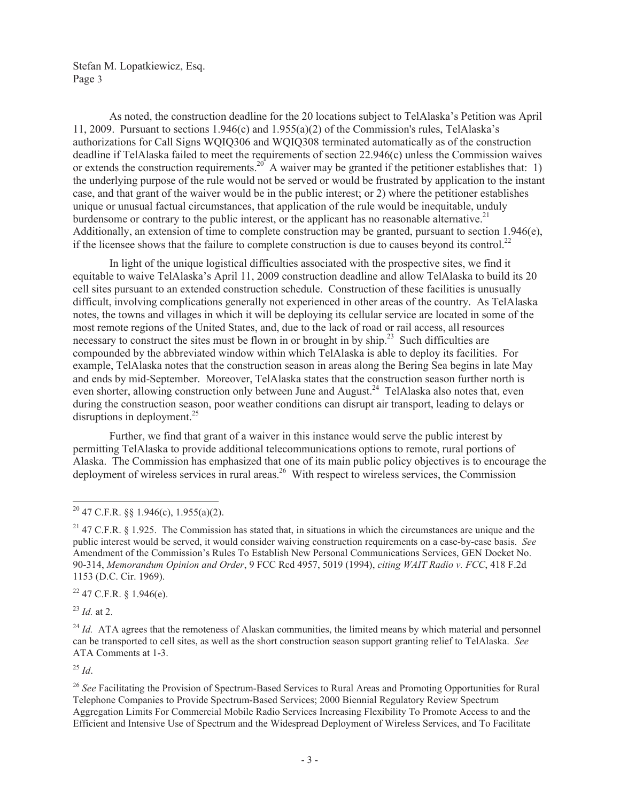As noted, the construction deadline for the 20 locations subject to TelAlaska's Petition was April 11, 2009. Pursuant to sections 1.946(c) and 1.955(a)(2) of the Commission's rules, TelAlaska's authorizations for Call Signs WQIQ306 and WQIQ308 terminated automatically as of the construction deadline if TelAlaska failed to meet the requirements of section 22.946(c) unless the Commission waives or extends the construction requirements.<sup>20</sup> A waiver may be granted if the petitioner establishes that: 1) the underlying purpose of the rule would not be served or would be frustrated by application to the instant case, and that grant of the waiver would be in the public interest; or 2) where the petitioner establishes unique or unusual factual circumstances, that application of the rule would be inequitable, unduly burdensome or contrary to the public interest, or the applicant has no reasonable alternative.<sup>21</sup> Additionally, an extension of time to complete construction may be granted, pursuant to section 1.946(e), if the licensee shows that the failure to complete construction is due to causes beyond its control.<sup>22</sup>

In light of the unique logistical difficulties associated with the prospective sites, we find it equitable to waive TelAlaska's April 11, 2009 construction deadline and allow TelAlaska to build its 20 cell sites pursuant to an extended construction schedule. Construction of these facilities is unusually difficult, involving complications generally not experienced in other areas of the country. As TelAlaska notes, the towns and villages in which it will be deploying its cellular service are located in some of the most remote regions of the United States, and, due to the lack of road or rail access, all resources necessary to construct the sites must be flown in or brought in by ship.<sup>23</sup> Such difficulties are compounded by the abbreviated window within which TelAlaska is able to deploy its facilities. For example, TelAlaska notes that the construction season in areas along the Bering Sea begins in late May and ends by mid-September. Moreover, TelAlaska states that the construction season further north is even shorter, allowing construction only between June and August.<sup>24</sup> TelAlaska also notes that, even during the construction season, poor weather conditions can disrupt air transport, leading to delays or disruptions in deployment.<sup>25</sup>

Further, we find that grant of a waiver in this instance would serve the public interest by permitting TelAlaska to provide additional telecommunications options to remote, rural portions of Alaska. The Commission has emphasized that one of its main public policy objectives is to encourage the deployment of wireless services in rural areas.<sup>26</sup> With respect to wireless services, the Commission

 $22$  47 C.F.R. § 1.946(e).

<sup>23</sup> *Id.* at 2.

 $^{25}$  *Id*.

 $20$  47 C.F.R. §§ 1.946(c), 1.955(a)(2).

<sup>&</sup>lt;sup>21</sup> 47 C.F.R. § 1.925. The Commission has stated that, in situations in which the circumstances are unique and the public interest would be served, it would consider waiving construction requirements on a case-by-case basis. *See* Amendment of the Commission's Rules To Establish New Personal Communications Services, GEN Docket No. 90-314, *Memorandum Opinion and Order*, 9 FCC Rcd 4957, 5019 (1994), *citing WAIT Radio v. FCC*, 418 F.2d 1153 (D.C. Cir. 1969).

<sup>&</sup>lt;sup>24</sup> *Id.* ATA agrees that the remoteness of Alaskan communities, the limited means by which material and personnel can be transported to cell sites, as well as the short construction season support granting relief to TelAlaska. *See* ATA Comments at 1-3.

<sup>26</sup> *See* Facilitating the Provision of Spectrum-Based Services to Rural Areas and Promoting Opportunities for Rural Telephone Companies to Provide Spectrum-Based Services; 2000 Biennial Regulatory Review Spectrum Aggregation Limits For Commercial Mobile Radio Services Increasing Flexibility To Promote Access to and the Efficient and Intensive Use of Spectrum and the Widespread Deployment of Wireless Services, and To Facilitate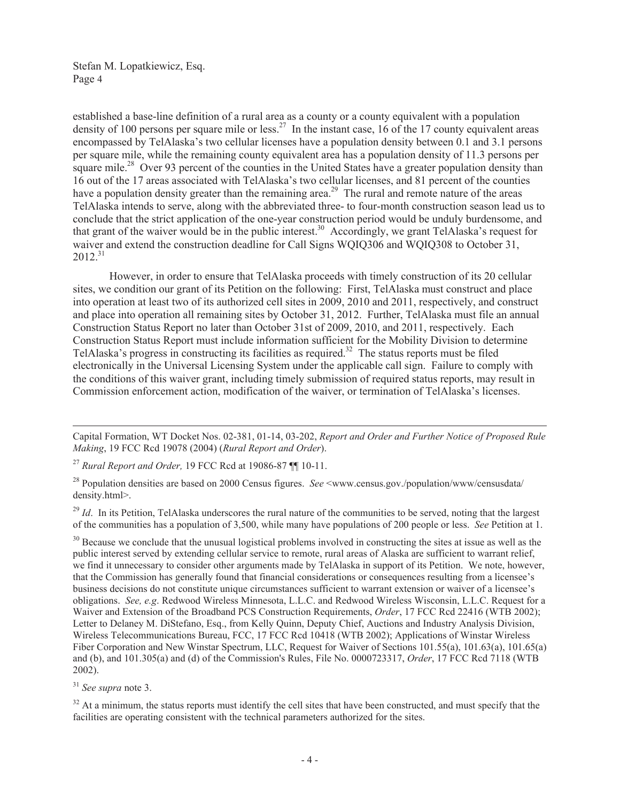established a base-line definition of a rural area as a county or a county equivalent with a population density of 100 persons per square mile or less.<sup>27</sup> In the instant case, 16 of the 17 county equivalent areas encompassed by TelAlaska's two cellular licenses have a population density between 0.1 and 3.1 persons per square mile, while the remaining county equivalent area has a population density of 11.3 persons per square mile.<sup>28</sup> Over 93 percent of the counties in the United States have a greater population density than 16 out of the 17 areas associated with TelAlaska's two cellular licenses, and 81 percent of the counties have a population density greater than the remaining area.<sup>29</sup> The rural and remote nature of the areas TelAlaska intends to serve, along with the abbreviated three- to four-month construction season lead us to conclude that the strict application of the one-year construction period would be unduly burdensome, and that grant of the waiver would be in the public interest.<sup>30</sup> Accordingly, we grant TelAlaska's request for waiver and extend the construction deadline for Call Signs WQIQ306 and WQIQ308 to October 31,  $2012.<sup>31</sup>$ 

However, in order to ensure that TelAlaska proceeds with timely construction of its 20 cellular sites, we condition our grant of its Petition on the following: First, TelAlaska must construct and place into operation at least two of its authorized cell sites in 2009, 2010 and 2011, respectively, and construct and place into operation all remaining sites by October 31, 2012. Further, TelAlaska must file an annual Construction Status Report no later than October 31st of 2009, 2010, and 2011, respectively. Each Construction Status Report must include information sufficient for the Mobility Division to determine TelAlaska's progress in constructing its facilities as required.<sup>32</sup> The status reports must be filed electronically in the Universal Licensing System under the applicable call sign. Failure to comply with the conditions of this waiver grant, including timely submission of required status reports, may result in Commission enforcement action, modification of the waiver, or termination of TelAlaska's licenses.

<sup>27</sup> *Rural Report and Order,* 19 FCC Rcd at 19086-87 ¶¶ 10-11.

<sup>28</sup> Population densities are based on 2000 Census figures. *See* <www.census.gov./population/www/censusdata/ density.html>.

<sup>29</sup> *Id*. In its Petition, TelAlaska underscores the rural nature of the communities to be served, noting that the largest of the communities has a population of 3,500, while many have populations of 200 people or less. *See* Petition at 1.

<sup>30</sup> Because we conclude that the unusual logistical problems involved in constructing the sites at issue as well as the public interest served by extending cellular service to remote, rural areas of Alaska are sufficient to warrant relief, we find it unnecessary to consider other arguments made by TelAlaska in support of its Petition. We note, however, that the Commission has generally found that financial considerations or consequences resulting from a licensee's business decisions do not constitute unique circumstances sufficient to warrant extension or waiver of a licensee's obligations. *See, e.g*. Redwood Wireless Minnesota, L.L.C. and Redwood Wireless Wisconsin, L.L.C. Request for a Waiver and Extension of the Broadband PCS Construction Requirements, *Order*, 17 FCC Rcd 22416 (WTB 2002); Letter to Delaney M. DiStefano, Esq., from Kelly Quinn, Deputy Chief, Auctions and Industry Analysis Division, Wireless Telecommunications Bureau, FCC, 17 FCC Rcd 10418 (WTB 2002); Applications of Winstar Wireless Fiber Corporation and New Winstar Spectrum, LLC, Request for Waiver of Sections 101.55(a), 101.63(a), 101.65(a) and (b), and 101.305(a) and (d) of the Commission's Rules, File No. 0000723317, *Order*, 17 FCC Rcd 7118 (WTB 2002).

<sup>31</sup> *See supra* note 3.

 $32$  At a minimum, the status reports must identify the cell sites that have been constructed, and must specify that the facilities are operating consistent with the technical parameters authorized for the sites.

Capital Formation, WT Docket Nos. 02-381, 01-14, 03-202, *Report and Order and Further Notice of Proposed Rule Making*, 19 FCC Rcd 19078 (2004) (*Rural Report and Order*).